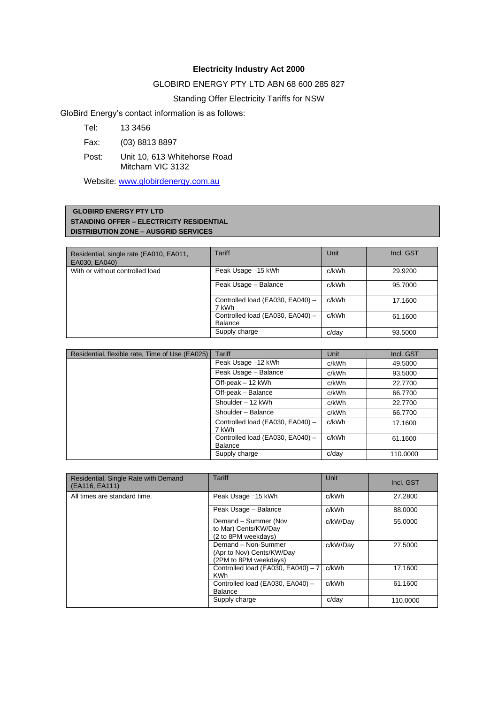# **Electricity Industry Act 2000**

## GLOBIRD ENERGY PTY LTD ABN 68 600 285 827

# Standing Offer Electricity Tariffs for NSW

GloBird Energy's contact information is as follows:

Tel: 13 3456

Fax: (03) 8813 8897

Post: Unit 10, 613 Whitehorse Road Mitcham VIC 3132

Website: [www.globirdenergy.com.au](http://www.globirdenergy.com.au/)

### **GLOBIRD ENERGY PTY LTD STANDING OFFER – ELECTRICITY RESIDENTIAL DISTRIBUTION ZONE – AUSGRID SERVICES**

| Residential, single rate (EA010, EA011,<br>EA030, EA040) | Tariff                                      | Unit  | Incl. GST |
|----------------------------------------------------------|---------------------------------------------|-------|-----------|
| With or without controlled load                          | Peak Usage -15 kWh                          | c/kWh | 29.9200   |
|                                                          | Peak Usage - Balance                        | c/kWh | 95.7000   |
|                                                          | Controlled load (EA030, EA040) -<br>7 kWh   | c/kWh | 17.1600   |
|                                                          | Controlled load (EA030, EA040) -<br>Balance | c/kWh | 61.1600   |
|                                                          | Supply charge                               | c/dav | 93.5000   |

| Residential, flexible rate, Time of Use (EA025) | <b>Tariff</b>                                      | Unit  | Incl. GST |
|-------------------------------------------------|----------------------------------------------------|-------|-----------|
|                                                 | Peak Usage -12 kWh                                 | c/kWh | 49.5000   |
|                                                 | Peak Usage - Balance                               | c/kWh | 93.5000   |
|                                                 | Off-peak - 12 kWh                                  | c/kWh | 22,7700   |
|                                                 | Off-peak - Balance                                 | c/kWh | 66.7700   |
|                                                 | Shoulder - 12 kWh                                  | c/kWh | 22,7700   |
|                                                 | Shoulder - Balance                                 | c/kWh | 66.7700   |
|                                                 | Controlled load (EA030, EA040) -<br>7 kWh          | c/kWh | 17.1600   |
|                                                 | Controlled load (EA030, EA040) -<br><b>Balance</b> | c/kWh | 61.1600   |
|                                                 | Supply charge                                      | c/day | 110.0000  |

| Residential, Single Rate with Demand<br>(EA116, EA111) | Tariff                                                                    | Unit     | Incl. GST |
|--------------------------------------------------------|---------------------------------------------------------------------------|----------|-----------|
| All times are standard time.                           | Peak Usage -15 kWh                                                        | c/kWh    | 27.2800   |
|                                                        | Peak Usage - Balance                                                      | c/kWh    | 88,0000   |
|                                                        | Demand - Summer (Nov<br>to Mar) Cents/KW/Day<br>(2 to 8PM weekdays)       | c/kW/Day | 55.0000   |
|                                                        | Demand - Non-Summer<br>(Apr to Nov) Cents/KW/Day<br>(2PM to 8PM weekdays) | c/kW/Day | 27,5000   |
|                                                        | Controlled load (EA030, EA040) - 7<br><b>KWh</b>                          | c/kWh    | 17.1600   |
|                                                        | Controlled load (EA030, EA040) -<br>Balance                               | c/kWh    | 61.1600   |
|                                                        | Supply charge                                                             | c/day    | 110.0000  |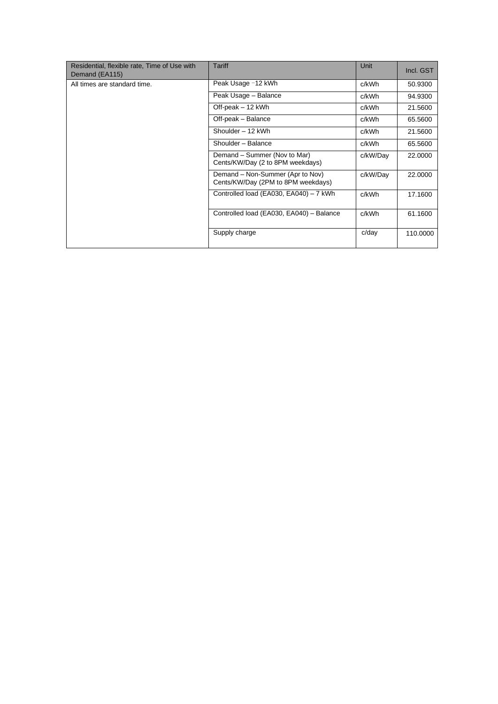| Residential, flexible rate, Time of Use with<br>Demand (EA115) | Tariff                                                                 | Unit     | Incl. GST |
|----------------------------------------------------------------|------------------------------------------------------------------------|----------|-----------|
| All times are standard time.                                   | Peak Usage -12 kWh                                                     | c/kWh    | 50.9300   |
|                                                                | Peak Usage - Balance                                                   | c/kWh    | 94.9300   |
|                                                                | Off-peak - 12 kWh                                                      | c/kWh    | 21.5600   |
|                                                                | Off-peak - Balance                                                     | c/kWh    | 65.5600   |
|                                                                | Shoulder - 12 kWh                                                      | c/kWh    | 21.5600   |
|                                                                | Shoulder - Balance                                                     | c/kWh    | 65.5600   |
|                                                                | Demand - Summer (Nov to Mar)<br>Cents/KW/Day (2 to 8PM weekdays)       | c/kW/Day | 22,0000   |
|                                                                | Demand - Non-Summer (Apr to Nov)<br>Cents/KW/Day (2PM to 8PM weekdays) | c/kW/Day | 22,0000   |
|                                                                | Controlled load (EA030, EA040) - 7 kWh                                 | c/kWh    | 17.1600   |
|                                                                | Controlled load (EA030, EA040) - Balance                               | c/kWh    | 61.1600   |
|                                                                | Supply charge                                                          | c/dav    | 110.0000  |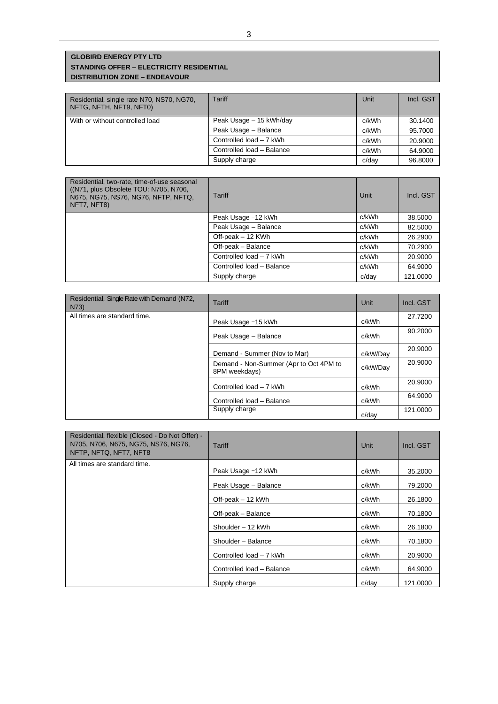## **GLOBIRD ENERGY PTY LTD STANDING OFFER – ELECTRICITY RESIDENTIAL DISTRIBUTION ZONE – ENDEAVOUR**

| Residential, single rate N70, NS70, NG70,<br>NFTG, NFTH, NFT9, NFT0) | Tariff                    | Unit  | Incl. GST |
|----------------------------------------------------------------------|---------------------------|-------|-----------|
| With or without controlled load                                      | Peak Usage - 15 kWh/day   | c/kWh | 30.1400   |
|                                                                      | Peak Usage - Balance      | c/kWh | 95.7000   |
|                                                                      | Controlled load - 7 kWh   | c/kWh | 20,9000   |
|                                                                      | Controlled load - Balance | c/kWh | 64.9000   |
|                                                                      | Supply charge             | c/dav | 96.8000   |

| Residential, two-rate, time-of-use seasonal<br>((N71, plus Obsolete TOU: N705, N706,<br>N675, NG75, NS76, NG76, NFTP, NFTQ,<br>NFT7, NFT8) | Tariff                    | Unit  | Incl. GST |
|--------------------------------------------------------------------------------------------------------------------------------------------|---------------------------|-------|-----------|
|                                                                                                                                            | Peak Usage -12 kWh        | c/kWh | 38,5000   |
|                                                                                                                                            | Peak Usage - Balance      | c/kWh | 82,5000   |
|                                                                                                                                            | Off-peak - 12 KWh         | c/kWh | 26.2900   |
|                                                                                                                                            | Off-peak - Balance        | c/kWh | 70.2900   |
|                                                                                                                                            | Controlled load - 7 kWh   | c/kWh | 20,9000   |
|                                                                                                                                            | Controlled load - Balance | c/kWh | 64.9000   |
|                                                                                                                                            | Supply charge             | c/day | 121.0000  |

| Residential, Single Rate with Demand (N72,<br>N73) | Tariff                                                  | Unit     | Incl. GST |
|----------------------------------------------------|---------------------------------------------------------|----------|-----------|
| All times are standard time.                       | Peak Usage -15 kWh                                      | c/kWh    | 27.7200   |
|                                                    | Peak Usage - Balance                                    | c/kWh    | 90.2000   |
|                                                    | Demand - Summer (Nov to Mar)                            | c/kW/Day | 20.9000   |
|                                                    | Demand - Non-Summer (Apr to Oct 4PM to<br>8PM weekdays) | c/kW/Dav | 20,9000   |
|                                                    | Controlled load - 7 kWh                                 | c/kWh    | 20.9000   |
|                                                    | Controlled load - Balance                               | c/kWh    | 64.9000   |
|                                                    | Supply charge                                           | c/dav    | 121.0000  |

| Residential, flexible (Closed - Do Not Offer) -<br>N705, N706, N675, NG75, NS76, NG76,<br>NFTP, NFTQ, NFT7, NFT8 | Tariff                    | Unit  | Incl. GST |
|------------------------------------------------------------------------------------------------------------------|---------------------------|-------|-----------|
| All times are standard time.                                                                                     | Peak Usage -12 kWh        | c/kWh | 35,2000   |
|                                                                                                                  | Peak Usage - Balance      | c/kWh | 79.2000   |
|                                                                                                                  | Off-peak - 12 kWh         | c/kWh | 26.1800   |
|                                                                                                                  | Off-peak - Balance        | c/kWh | 70.1800   |
|                                                                                                                  | Shoulder - 12 kWh         | c/kWh | 26.1800   |
|                                                                                                                  | Shoulder - Balance        | c/kWh | 70.1800   |
|                                                                                                                  | Controlled load - 7 kWh   | c/kWh | 20,9000   |
|                                                                                                                  | Controlled load - Balance | c/kWh | 64.9000   |
|                                                                                                                  | Supply charge             | c/dav | 121.0000  |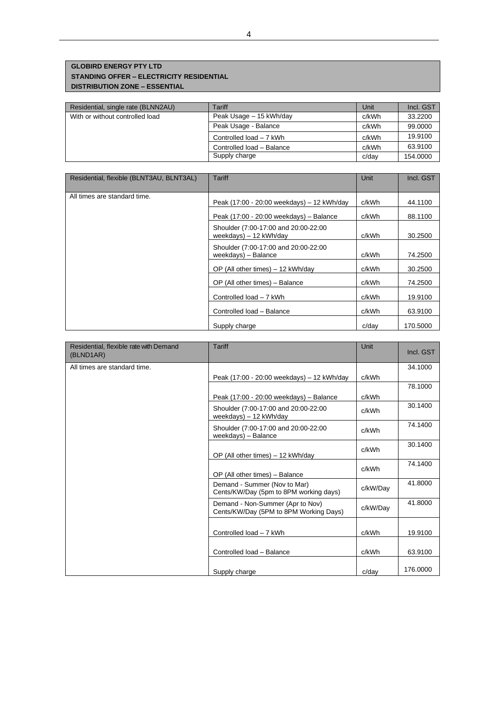### **GLOBIRD ENERGY PTY LTD STANDING OFFER – ELECTRICITY RESIDENTIAL DISTRIBUTION ZONE – ESSENTIAL**

| Residential, single rate (BLNN2AU) | Tariff                    | Unit  | Incl. GST |
|------------------------------------|---------------------------|-------|-----------|
| With or without controlled load    | Peak Usage - 15 kWh/day   | c/kWh | 33.2200   |
|                                    | Peak Usage - Balance      | c/kWh | 99,0000   |
|                                    | Controlled load - 7 kWh   | c/kWh | 19.9100   |
|                                    | Controlled load - Balance | c/kWh | 63.9100   |
|                                    | Supply charge             | c/day | 154,0000  |

| Residential, flexible (BLNT3AU, BLNT3AL) | Tariff                                                          | Unit  | Incl. GST |
|------------------------------------------|-----------------------------------------------------------------|-------|-----------|
|                                          |                                                                 |       |           |
| All times are standard time.             | Peak (17:00 - 20:00 weekdays) - 12 kWh/day                      | c/kWh | 44.1100   |
|                                          | Peak (17:00 - 20:00 weekdays) - Balance                         | c/kWh | 88.1100   |
|                                          | Shoulder (7:00-17:00 and 20:00-22:00<br>weekdays) $-12$ kWh/day | c/kWh | 30.2500   |
|                                          | Shoulder (7:00-17:00 and 20:00-22:00<br>$weekdays) - Balance$   | c/kWh | 74.2500   |
|                                          | OP (All other times) - 12 kWh/day                               | c/kWh | 30.2500   |
|                                          | OP (All other times) - Balance                                  | c/kWh | 74.2500   |
|                                          | Controlled load - 7 kWh                                         | c/kWh | 19.9100   |
|                                          | Controlled load - Balance                                       | c/kWh | 63.9100   |
|                                          | Supply charge                                                   | c/dav | 170,5000  |

| Residential, flexible rate with Demand<br>(BLND1AR) | <b>Tariff</b>                                                              | Unit     | Incl. GST |
|-----------------------------------------------------|----------------------------------------------------------------------------|----------|-----------|
| All times are standard time.                        |                                                                            |          | 34.1000   |
|                                                     | Peak (17:00 - 20:00 weekdays) - 12 kWh/day                                 | c/kWh    |           |
|                                                     |                                                                            |          | 78.1000   |
|                                                     | Peak (17:00 - 20:00 weekdays) - Balance                                    | c/kWh    |           |
|                                                     | Shoulder (7:00-17:00 and 20:00-22:00<br>weekdays) - 12 kWh/day             | c/kWh    | 30.1400   |
|                                                     | Shoulder (7:00-17:00 and 20:00-22:00<br>weekdays) - Balance                | c/kWh    | 74.1400   |
|                                                     | OP (All other times) - 12 kWh/day                                          | c/kWh    | 30.1400   |
|                                                     | OP (All other times) - Balance                                             | c/kWh    | 74.1400   |
|                                                     | Demand - Summer (Nov to Mar)<br>Cents/KW/Day (5pm to 8PM working days)     | c/kW/Day | 41.8000   |
|                                                     | Demand - Non-Summer (Apr to Nov)<br>Cents/KW/Day (5PM to 8PM Working Days) | c/kW/Day | 41.8000   |
|                                                     | Controlled load - 7 kWh                                                    | c/kWh    | 19.9100   |
|                                                     | Controlled load - Balance                                                  | c/kWh    | 63.9100   |
|                                                     | Supply charge                                                              | c/dav    | 176,0000  |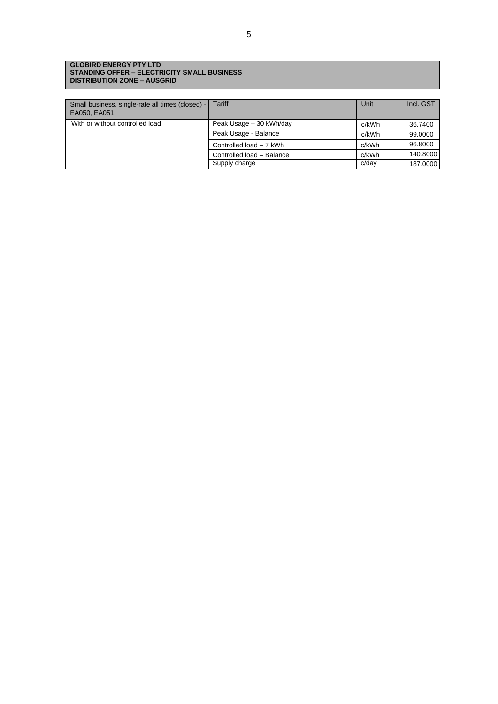### **GLOBIRD ENERGY PTY LTD STANDING OFFER – ELECTRICITY SMALL BUSINESS DISTRIBUTION ZONE – AUSGRID**

| Small business, single-rate all times (closed) - Tariff<br>EA050, EA051 |                           | Unit  | Incl. GST |
|-------------------------------------------------------------------------|---------------------------|-------|-----------|
| With or without controlled load                                         | Peak Usage - 30 kWh/day   | c/kWh | 36.7400   |
|                                                                         | Peak Usage - Balance      | c/kWh | 99,0000   |
|                                                                         | Controlled load - 7 kWh   | c/kWh | 96,8000   |
|                                                                         | Controlled load - Balance | c/kWh | 140.8000  |
|                                                                         | Supply charge             | c/day | 187.0000  |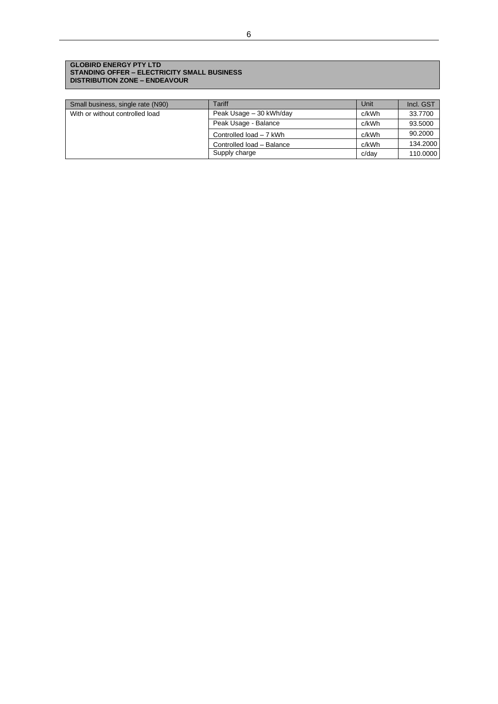### **GLOBIRD ENERGY PTY LTD STANDING OFFER – ELECTRICITY SMALL BUSINESS DISTRIBUTION ZONE – ENDEAVOUR**

| Small business, single rate (N90) | Tariff                    | Unit  | Incl. GST |
|-----------------------------------|---------------------------|-------|-----------|
| With or without controlled load   | Peak Usage - 30 kWh/day   | c/kWh | 33.7700   |
|                                   | Peak Usage - Balance      | c/kWh | 93.5000   |
|                                   | Controlled load - 7 kWh   | c/kWh | 90.2000   |
|                                   | Controlled load - Balance | c/kWh | 134.2000  |
|                                   | Supply charge             | c/dav | 110.0000  |